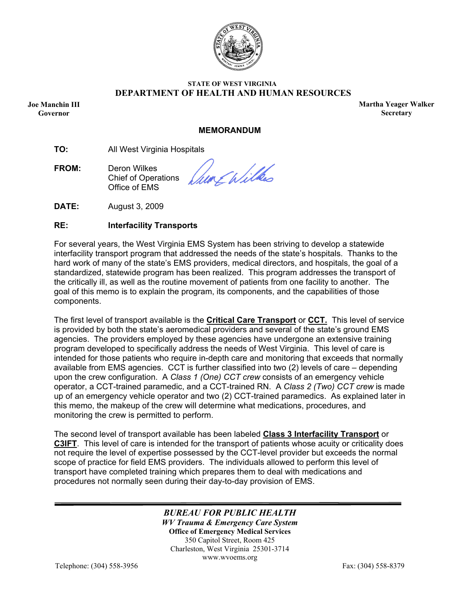

## **STATE OF WEST VIRGINIA DEPARTMENT OF HEALTH AND HUMAN RESOURCES**

Governor **Joe Manchin III** 

**Martha Yeager Walker Secretary** 

### **MEMORANDUM**

**TO:** All West Virginia Hospitals

**FROM:** Deron Wilkes Chief of Operations Office of EMS

un Ephilhos

**DATE:** August 3, 2009

## **RE: Interfacility Transports**

For several years, the West Virginia EMS System has been striving to develop a statewide interfacility transport program that addressed the needs of the state's hospitals. Thanks to the hard work of many of the state's EMS providers, medical directors, and hospitals, the goal of a standardized, statewide program has been realized. This program addresses the transport of the critically ill, as well as the routine movement of patients from one facility to another. The goal of this memo is to explain the program, its components, and the capabilities of those components.

The first level of transport available is the **Critical Care Transport** or **CCT.** This level of service is provided by both the state's aeromedical providers and several of the state's ground EMS agencies. The providers employed by these agencies have undergone an extensive training program developed to specifically address the needs of West Virginia. This level of care is intended for those patients who require in-depth care and monitoring that exceeds that normally available from EMS agencies. CCT is further classified into two (2) levels of care – depending upon the crew configuration. A *Class 1 (One) CCT crew* consists of an emergency vehicle operator, a CCT-trained paramedic, and a CCT-trained RN. A *Class 2 (Two) CCT crew* is made up of an emergency vehicle operator and two (2) CCT-trained paramedics. As explained later in this memo, the makeup of the crew will determine what medications, procedures, and monitoring the crew is permitted to perform.

The second level of transport available has been labeled **Class 3 Interfacility Transport** or **C3IFT**. This level of care is intended for the transport of patients whose acuity or criticality does not require the level of expertise possessed by the CCT-level provider but exceeds the normal scope of practice for field EMS providers. The individuals allowed to perform this level of transport have completed training which prepares them to deal with medications and procedures not normally seen during their day-to-day provision of EMS.

> *BUREAU FOR PUBLIC HEALTH WV Trauma & Emergency Care System*  **Office of Emergency Medical Services**  350 Capitol Street, Room 425 Charleston, West Virginia 25301-3714 www.wvoems.org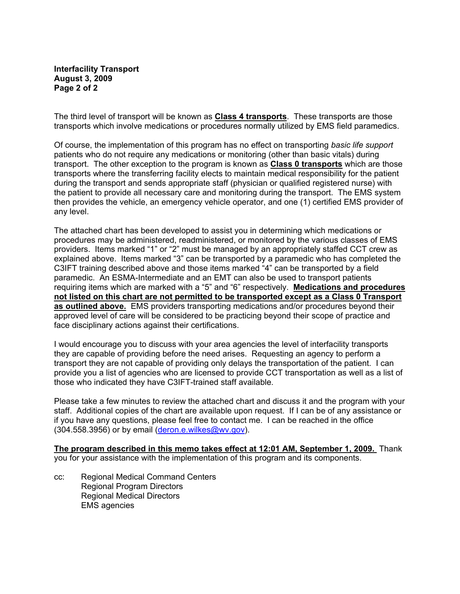## **Interfacility Transport August 3, 2009 Page 2 of 2**

The third level of transport will be known as **Class 4 transports**. These transports are those transports which involve medications or procedures normally utilized by EMS field paramedics.

Of course, the implementation of this program has no effect on transporting *basic life support* patients who do not require any medications or monitoring (other than basic vitals) during transport. The other exception to the program is known as **Class 0 transports** which are those transports where the transferring facility elects to maintain medical responsibility for the patient during the transport and sends appropriate staff (physician or qualified registered nurse) with the patient to provide all necessary care and monitoring during the transport. The EMS system then provides the vehicle, an emergency vehicle operator, and one (1) certified EMS provider of any level.

The attached chart has been developed to assist you in determining which medications or procedures may be administered, readministered, or monitored by the various classes of EMS providers. Items marked "1" or "2" must be managed by an appropriately staffed CCT crew as explained above. Items marked "3" can be transported by a paramedic who has completed the C3IFT training described above and those items marked "4" can be transported by a field paramedic. An ESMA-Intermediate and an EMT can also be used to transport patients requiring items which are marked with a "5" and "6" respectively. **Medications and procedures not listed on this chart are not permitted to be transported except as a Class 0 Transport as outlined above.** EMS providers transporting medications and/or procedures beyond their approved level of care will be considered to be practicing beyond their scope of practice and face disciplinary actions against their certifications.

I would encourage you to discuss with your area agencies the level of interfacility transports they are capable of providing before the need arises. Requesting an agency to perform a transport they are not capable of providing only delays the transportation of the patient. I can provide you a list of agencies who are licensed to provide CCT transportation as well as a list of those who indicated they have C3IFT-trained staff available.

Please take a few minutes to review the attached chart and discuss it and the program with your staff. Additional copies of the chart are available upon request. If I can be of any assistance or if you have any questions, please feel free to contact me. I can be reached in the office (304.558.3956) or by email (deron.e.wilkes@wv.gov).

**The program described in this memo takes effect at 12:01 AM, September 1, 2009.** Thank you for your assistance with the implementation of this program and its components.

cc: Regional Medical Command Centers Regional Program Directors Regional Medical Directors EMS agencies